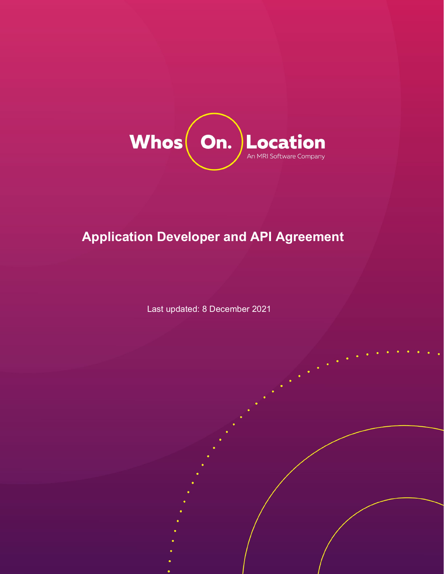

# **Application Developer and API Agreement**

Last updated: 8 December 2021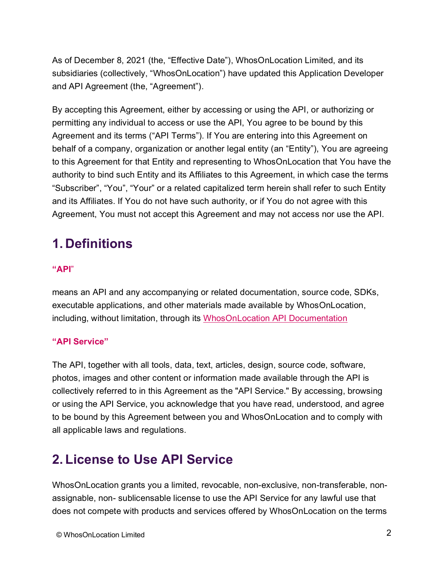As of December 8, 2021 (the, "Effective Date"), WhosOnLocation Limited, and its subsidiaries (collectively, "WhosOnLocation") have updated this Application Developer and API Agreement (the, "Agreement").

By accepting this Agreement, either by accessing or using the API, or authorizing or permitting any individual to access or use the API, You agree to be bound by this Agreement and its terms ("API Terms"). If You are entering into this Agreement on behalf of a company, organization or another legal entity (an "Entity"), You are agreeing to this Agreement for that Entity and representing to WhosOnLocation that You have the authority to bind such Entity and its Affiliates to this Agreement, in which case the terms "Subscriber", "You", "Your" or a related capitalized term herein shall refer to such Entity and its Affiliates. If You do not have such authority, or if You do not agree with this Agreement, You must not accept this Agreement and may not access nor use the API.

## **1. Definitions**

#### **"API**"

means an API and any accompanying or related documentation, source code, SDKs, executable applications, and other materials made available by WhosOnLocation, including, without limitation, through its [WhosOnLocation API Documentation](https://api.whosonlocation.com/)

#### **"API Service"**

The API, together with all tools, data, text, articles, design, source code, software, photos, images and other content or information made available through the API is collectively referred to in this Agreement as the "API Service." By accessing, browsing or using the API Service, you acknowledge that you have read, understood, and agree to be bound by this Agreement between you and WhosOnLocation and to comply with all applicable laws and regulations.

#### **2. License to Use API Service**

WhosOnLocation grants you a limited, revocable, non-exclusive, non-transferable, nonassignable, non- sublicensable license to use the API Service for any lawful use that does not compete with products and services offered by WhosOnLocation on the terms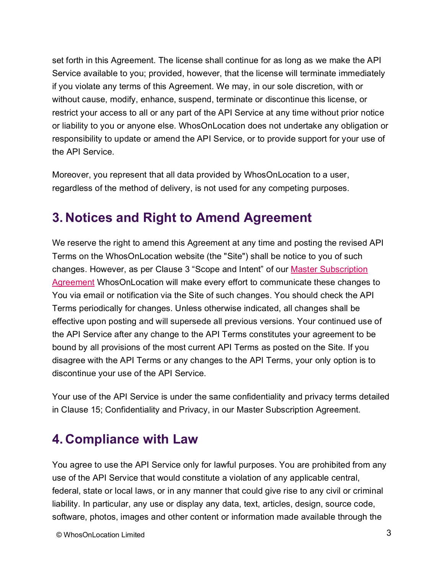set forth in this Agreement. The license shall continue for as long as we make the API Service available to you; provided, however, that the license will terminate immediately if you violate any terms of this Agreement. We may, in our sole discretion, with or without cause, modify, enhance, suspend, terminate or discontinue this license, or restrict your access to all or any part of the API Service at any time without prior notice or liability to you or anyone else. WhosOnLocation does not undertake any obligation or responsibility to update or amend the API Service, or to provide support for your use of the API Service.

Moreover, you represent that all data provided by WhosOnLocation to a user, regardless of the method of delivery, is not used for any competing purposes.

#### **3. Notices and Right to Amend Agreement**

We reserve the right to amend this Agreement at any time and posting the revised API Terms on the WhosOnLocation website (the "Site") shall be notice to you of such changes. However, as per Clause 3 "Scope and Intent" of our [Master Subscription](https://whosonlocation.com/master-subscription-agreement/)  [Agreement](https://whosonlocation.com/master-subscription-agreement/) WhosOnLocation will make every effort to communicate these changes to You via email or notification via the Site of such changes. You should check the API Terms periodically for changes. Unless otherwise indicated, all changes shall be effective upon posting and will supersede all previous versions. Your continued use of the API Service after any change to the API Terms constitutes your agreement to be bound by all provisions of the most current API Terms as posted on the Site. If you disagree with the API Terms or any changes to the API Terms, your only option is to discontinue your use of the API Service.

Your use of the API Service is under the same confidentiality and privacy terms detailed in Clause 15; Confidentiality and Privacy, in our Master Subscription Agreement.

# **4. Compliance with Law**

You agree to use the API Service only for lawful purposes. You are prohibited from any use of the API Service that would constitute a violation of any applicable central, federal, state or local laws, or in any manner that could give rise to any civil or criminal liability. In particular, any use or display any data, text, articles, design, source code, software, photos, images and other content or information made available through the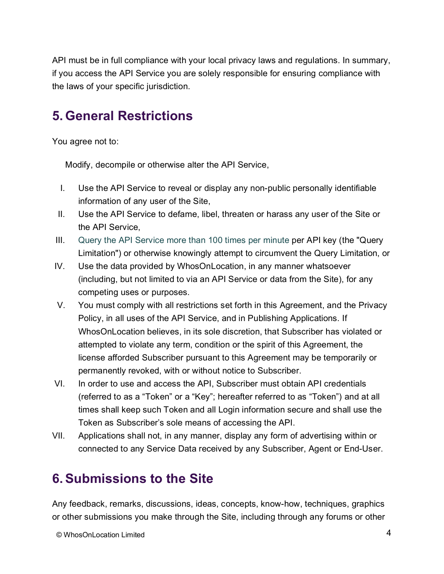API must be in full compliance with your local privacy laws and regulations. In summary, if you access the API Service you are solely responsible for ensuring compliance with the laws of your specific jurisdiction.

## **5. General Restrictions**

You agree not to:

Modify, decompile or otherwise alter the API Service,

- I. Use the API Service to reveal or display any non-public personally identifiable information of any user of the Site,
- II. Use the API Service to defame, libel, threaten or harass any user of the Site or the API Service,
- III. Query the API Service more than 100 times per minute per API key (the "Query Limitation") or otherwise knowingly attempt to circumvent the Query Limitation, or
- IV. Use the data provided by WhosOnLocation, in any manner whatsoever (including, but not limited to via an API Service or data from the Site), for any competing uses or purposes.
- V. You must comply with all restrictions set forth in this Agreement, and the [Privacy](https://whosonlocation.com/privacy-policy/)  [Policy,](https://whosonlocation.com/privacy-policy/) in all uses of the API Service, and in Publishing Applications. If WhosOnLocation believes, in its sole discretion, that Subscriber has violated or attempted to violate any term, condition or the spirit of this Agreement, the license afforded Subscriber pursuant to this Agreement may be temporarily or permanently revoked, with or without notice to Subscriber.
- VI. In order to use and access the API, Subscriber must obtain API credentials (referred to as a "Token" or a "Key"; hereafter referred to as "Token") and at all times shall keep such Token and all Login information secure and shall use the Token as Subscriber's sole means of accessing the API.
- VII. Applications shall not, in any manner, display any form of advertising within or connected to any Service Data received by any Subscriber, Agent or End-User.

# **6.Submissions to the Site**

Any feedback, remarks, discussions, ideas, concepts, know-how, techniques, graphics or other submissions you make through the Site, including through any forums or other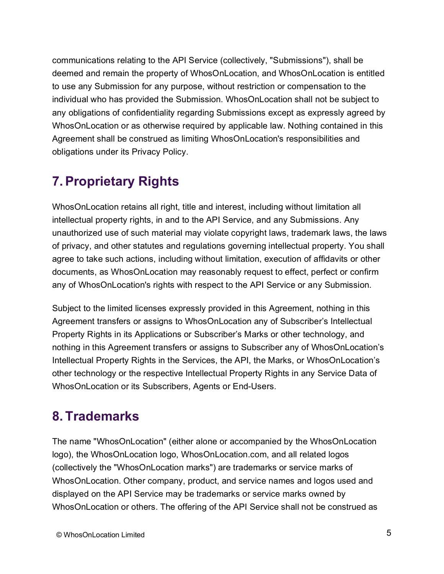communications relating to the API Service (collectively, "Submissions"), shall be deemed and remain the property of WhosOnLocation, and WhosOnLocation is entitled to use any Submission for any purpose, without restriction or compensation to the individual who has provided the Submission. WhosOnLocation shall not be subject to any obligations of confidentiality regarding Submissions except as expressly agreed by WhosOnLocation or as otherwise required by applicable law. Nothing contained in this Agreement shall be construed as limiting WhosOnLocation's responsibilities and obligations under its [Privacy Policy.](https://whosonlocation.com/privacy-policy/)

# **7.Proprietary Rights**

WhosOnLocation retains all right, title and interest, including without limitation all intellectual property rights, in and to the API Service, and any Submissions. Any unauthorized use of such material may violate copyright laws, trademark laws, the laws of privacy, and other statutes and regulations governing intellectual property. You shall agree to take such actions, including without limitation, execution of affidavits or other documents, as WhosOnLocation may reasonably request to effect, perfect or confirm any of WhosOnLocation's rights with respect to the API Service or any Submission.

Subject to the limited licenses expressly provided in this Agreement, nothing in this Agreement transfers or assigns to WhosOnLocation any of Subscriber's Intellectual Property Rights in its Applications or Subscriber's Marks or other technology, and nothing in this Agreement transfers or assigns to Subscriber any of WhosOnLocation's Intellectual Property Rights in the Services, the API, the Marks, or WhosOnLocation's other technology or the respective Intellectual Property Rights in any Service Data of WhosOnLocation or its Subscribers, Agents or End-Users.

# **8. Trademarks**

The name "WhosOnLocation" (either alone or accompanied by the WhosOnLocation logo), the WhosOnLocation logo, WhosOnLocation.com, and all related logos (collectively the "WhosOnLocation marks") are trademarks or service marks of WhosOnLocation. Other company, product, and service names and logos used and displayed on the API Service may be trademarks or service marks owned by WhosOnLocation or others. The offering of the API Service shall not be construed as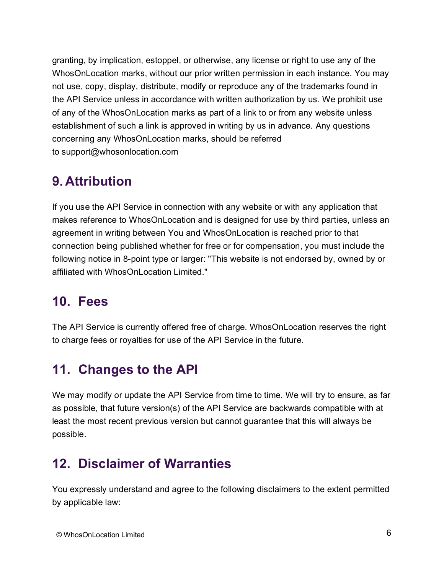granting, by implication, estoppel, or otherwise, any license or right to use any of the WhosOnLocation marks, without our prior written permission in each instance. You may not use, copy, display, distribute, modify or reproduce any of the trademarks found in the API Service unless in accordance with written authorization by us. We prohibit use of any of the WhosOnLocation marks as part of a link to or from any website unless establishment of such a link is approved in writing by us in advance. Any questions concerning any WhosOnLocation marks, should be referred to [support@whosonlocation.com](mailto:support@whosonlocation.com)

## **9. Attribution**

If you use the API Service in connection with any website or with any application that makes reference to WhosOnLocation and is designed for use by third parties, unless an agreement in writing between You and WhosOnLocation is reached prior to that connection being published whether for free or for compensation, you must include the following notice in 8-point type or larger: "This website is not endorsed by, owned by or affiliated with WhosOnLocation Limited."

## **10. Fees**

The API Service is currently offered free of charge. WhosOnLocation reserves the right to charge fees or royalties for use of the API Service in the future.

## **11. Changes to the API**

We may modify or update the API Service from time to time. We will try to ensure, as far as possible, that future version(s) of the API Service are backwards compatible with at least the most recent previous version but cannot guarantee that this will always be possible.

# **12. Disclaimer of Warranties**

You expressly understand and agree to the following disclaimers to the extent permitted by applicable law: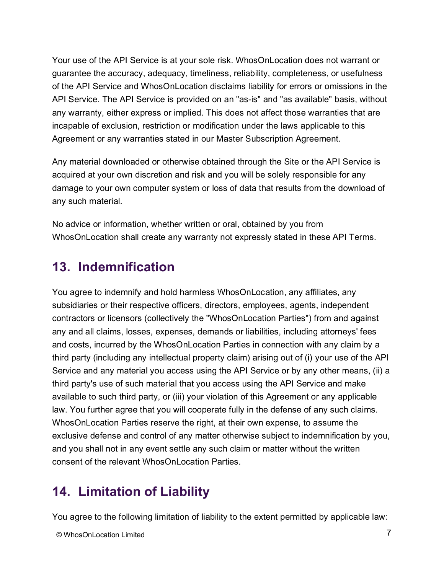Your use of the API Service is at your sole risk. WhosOnLocation does not warrant or guarantee the accuracy, adequacy, timeliness, reliability, completeness, or usefulness of the API Service and WhosOnLocation disclaims liability for errors or omissions in the API Service. The API Service is provided on an "as-is" and "as available" basis, without any warranty, either express or implied. This does not affect those warranties that are incapable of exclusion, restriction or modification under the laws applicable to this Agreement or any warranties stated in our [Master Subscription Agreement.](https://whosonlocation.com/master-subscription-agreement/)

Any material downloaded or otherwise obtained through the Site or the API Service is acquired at your own discretion and risk and you will be solely responsible for any damage to your own computer system or loss of data that results from the download of any such material.

No advice or information, whether written or oral, obtained by you from WhosOnLocation shall create any warranty not expressly stated in these API Terms.

#### **13. Indemnification**

You agree to indemnify and hold harmless WhosOnLocation, any affiliates, any subsidiaries or their respective officers, directors, employees, agents, independent contractors or licensors (collectively the "WhosOnLocation Parties") from and against any and all claims, losses, expenses, demands or liabilities, including attorneys' fees and costs, incurred by the WhosOnLocation Parties in connection with any claim by a third party (including any intellectual property claim) arising out of (i) your use of the API Service and any material you access using the API Service or by any other means, (ii) a third party's use of such material that you access using the API Service and make available to such third party, or (iii) your violation of this Agreement or any applicable law. You further agree that you will cooperate fully in the defense of any such claims. WhosOnLocation Parties reserve the right, at their own expense, to assume the exclusive defense and control of any matter otherwise subject to indemnification by you, and you shall not in any event settle any such claim or matter without the written consent of the relevant WhosOnLocation Parties.

## **14. Limitation of Liability**

You agree to the following limitation of liability to the extent permitted by applicable law: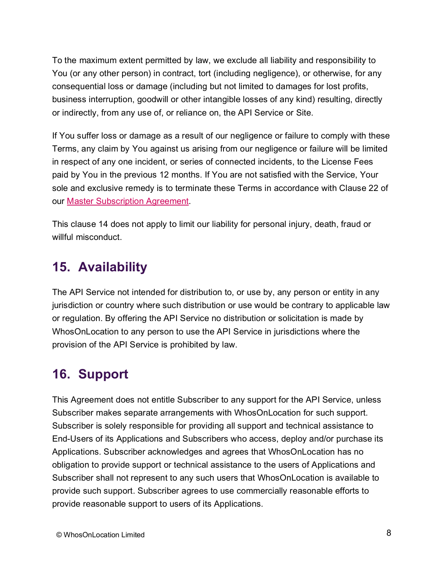To the maximum extent permitted by law, we exclude all liability and responsibility to You (or any other person) in contract, tort (including negligence), or otherwise, for any consequential loss or damage (including but not limited to damages for lost profits, business interruption, goodwill or other intangible losses of any kind) resulting, directly or indirectly, from any use of, or reliance on, the API Service or Site.

If You suffer loss or damage as a result of our negligence or failure to comply with these Terms, any claim by You against us arising from our negligence or failure will be limited in respect of any one incident, or series of connected incidents, to the License Fees paid by You in the previous 12 months. If You are not satisfied with the Service, Your sole and exclusive remedy is to terminate these Terms in accordance with Clause 22 of our [Master Subscription Agreement.](https://whosonlocation.com/master-subscription-agreement/)

This clause 14 does not apply to limit our liability for personal injury, death, fraud or willful misconduct.

## **15. Availability**

The API Service not intended for distribution to, or use by, any person or entity in any jurisdiction or country where such distribution or use would be contrary to applicable law or regulation. By offering the API Service no distribution or solicitation is made by WhosOnLocation to any person to use the API Service in jurisdictions where the provision of the API Service is prohibited by law.

# **16. Support**

This Agreement does not entitle Subscriber to any support for the API Service, unless Subscriber makes separate arrangements with WhosOnLocation for such support. Subscriber is solely responsible for providing all support and technical assistance to End-Users of its Applications and Subscribers who access, deploy and/or purchase its Applications. Subscriber acknowledges and agrees that WhosOnLocation has no obligation to provide support or technical assistance to the users of Applications and Subscriber shall not represent to any such users that WhosOnLocation is available to provide such support. Subscriber agrees to use commercially reasonable efforts to provide reasonable support to users of its Applications.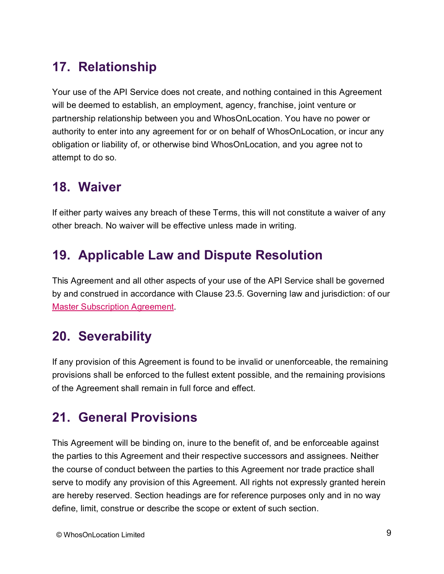## **17. Relationship**

Your use of the API Service does not create, and nothing contained in this Agreement will be deemed to establish, an employment, agency, franchise, joint venture or partnership relationship between you and WhosOnLocation. You have no power or authority to enter into any agreement for or on behalf of WhosOnLocation, or incur any obligation or liability of, or otherwise bind WhosOnLocation, and you agree not to attempt to do so.

#### **18. Waiver**

If either party waives any breach of these Terms, this will not constitute a waiver of any other breach. No waiver will be effective unless made in writing.

## **19. Applicable Law and Dispute Resolution**

This Agreement and all other aspects of your use of the API Service shall be governed by and construed in accordance with Clause 23.5. Governing law and jurisdiction: of our [Master Subscription Agreement.](https://whosonlocation.com/master-subscription-agreement/)

# **20. Severability**

If any provision of this Agreement is found to be invalid or unenforceable, the remaining provisions shall be enforced to the fullest extent possible, and the remaining provisions of the Agreement shall remain in full force and effect.

## **21. General Provisions**

This Agreement will be binding on, inure to the benefit of, and be enforceable against the parties to this Agreement and their respective successors and assignees. Neither the course of conduct between the parties to this Agreement nor trade practice shall serve to modify any provision of this Agreement. All rights not expressly granted herein are hereby reserved. Section headings are for reference purposes only and in no way define, limit, construe or describe the scope or extent of such section.